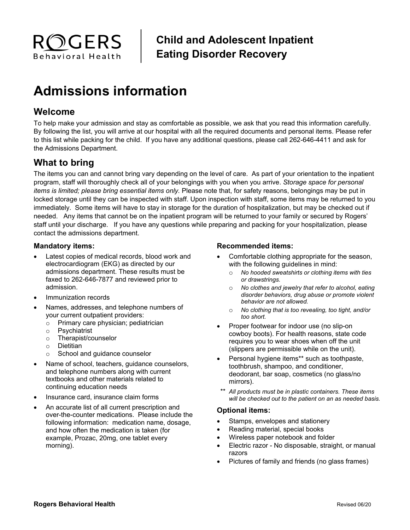

**Child and Adolescent Inpatient Eating Disorder Recovery**

# **Admissions information**

## **Welcome**

To help make your admission and stay as comfortable as possible, we ask that you read this information carefully. By following the list, you will arrive at our hospital with all the required documents and personal items. Please refer to this list while packing for the child. If you have any additional questions, please call 262-646-4411 and ask for the Admissions Department.

# **What to bring**

The items you can and cannot bring vary depending on the level of care. As part of your orientation to the inpatient program, staff will thoroughly check all of your belongings with you when you arrive. *Storage space for personal items is limited; please bring essential items only.* Please note that, for safety reasons, belongings may be put in locked storage until they can be inspected with staff. Upon inspection with staff, some items may be returned to you immediately. Some items will have to stay in storage for the duration of hospitalization, but may be checked out if needed. Any items that cannot be on the inpatient program will be returned to your family or secured by Rogers' staff until your discharge. If you have any questions while preparing and packing for your hospitalization, please contact the admissions department.

#### **Mandatory items:**

- Latest copies of medical records, blood work and electrocardiogram (EKG) as directed by our admissions department. These results must be faxed to 262-646-7877 and reviewed prior to admission.
- Immunization records
- Names, addresses, and telephone numbers of your current outpatient providers:
	- o Primary care physician; pediatrician
	- o Psychiatrist
	- o Therapist/counselor
	- o Dietitian
	- o School and guidance counselor
- Name of school, teachers, guidance counselors, and telephone numbers along with current textbooks and other materials related to continuing education needs
- Insurance card, insurance claim forms
- An accurate list of all current prescription and over-the-counter medications. Please include the following information: medication name, dosage, and how often the medication is taken (for example, Prozac, 20mg, one tablet every morning).

#### **Recommended items:**

- Comfortable clothing appropriate for the season, with the following guidelines in mind:
	- o *No hooded sweatshirts or clothing items with ties or drawstrings.*
	- o *No clothes and jewelry that refer to alcohol, eating disorder behaviors, drug abuse or promote violent behavior are not allowed.*
	- o *No clothing that is too revealing, too tight, and/or too short.*
- Proper footwear for indoor use (no slip-on cowboy boots). For health reasons, state code requires you to wear shoes when off the unit (slippers are permissible while on the unit).
- Personal hygiene items\*\* such as toothpaste, toothbrush, shampoo, and conditioner, deodorant, bar soap, cosmetics (no glass/no mirrors).
- *\*\* All products must be in plastic containers. These items will be checked out to the patient on an as needed basis.*

#### **Optional items:**

- Stamps, envelopes and stationery
- Reading material, special books
- Wireless paper notebook and folder
- Electric razor No disposable, straight, or manual razors
- Pictures of family and friends (no glass frames)